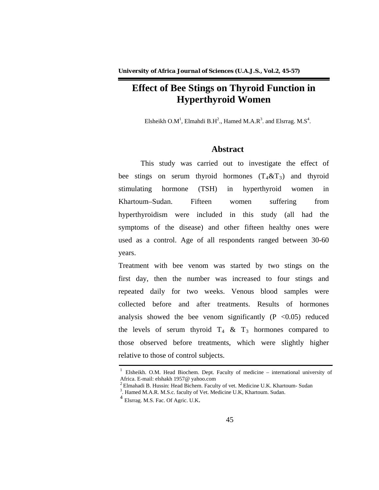# **Effect of Bee Stings on Thyroid Function in Hyperthyroid Women**

Elsheikh O.M<sup>1</sup>, Elmahdi B.H<sup>2</sup>., Hamed M.A.R<sup>3</sup>. and Elsrrag. M.S<sup>4</sup>.

# **Abstract**

This study was carried out to investigate the effect of bee stings on serum thyroid hormones  $(T_4 \& T_3)$  and thyroid stimulating hormone (TSH) in hyperthyroid women in Khartoum–Sudan. Fifteen women suffering from hyperthyroidism were included in this study (all had the symptoms of the disease) and other fifteen healthy ones were used as a control. Age of all respondents ranged between 30-60 years.

Treatment with bee venom was started by two stings on the first day, then the number was increased to four stings and repeated daily for two weeks. Venous blood samples were collected before and after treatments. Results of hormones analysis showed the bee venom significantly  $(P \le 0.05)$  reduced the levels of serum thyroid  $T_4 \& T_3$  hormones compared to those observed before treatments, which were slightly higher relative to those of control subjects.

<sup>&</sup>lt;sup>1</sup> Elsheikh. O.M. Head Biochem. Dept. Faculty of medicine – international university of Africa. E-mail: elshakh 1957@ yahoo.com

 $2$  Elmahadi B. Hussin: Head Bichem. Faculty of vet. Medicine U.K. Khartoum- Sudan

<sup>&</sup>lt;sup>3</sup>. Hamed M.A.R. M.S.c. faculty of Vet. Medicine U.K, Khartoum. Sudan.

<sup>4</sup> Elsrrag. M.S. Fac. Of Agric. U.K*.*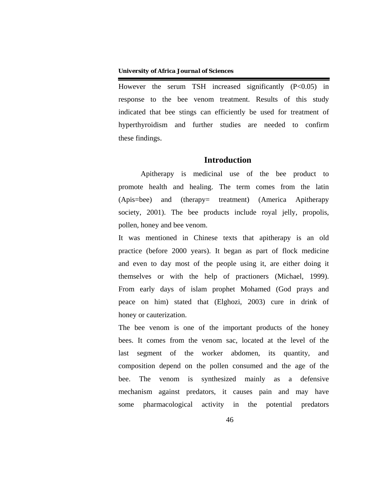However the serum TSH increased significantly  $(P<0.05)$  in response to the bee venom treatment. Results of this study indicated that bee stings can efficiently be used for treatment of hyperthyroidism and further studies are needed to confirm these findings.

# **Introduction**

Apitherapy is medicinal use of the bee product to promote health and healing. The term comes from the latin (Apis=bee) and (therapy= treatment) (America Apitherapy society, 2001). The bee products include royal jelly, propolis, pollen, honey and bee venom.

It was mentioned in Chinese texts that apitherapy is an old practice (before 2000 years). It began as part of flock medicine and even to day most of the people using it, are either doing it themselves or with the help of practioners (Michael, 1999). From early days of islam prophet Mohamed (God prays and peace on him) stated that (Elghozi, 2003) cure in drink of honey or cauterization.

The bee venom is one of the important products of the honey bees. It comes from the venom sac, located at the level of the last segment of the worker abdomen, its quantity, and composition depend on the pollen consumed and the age of the bee. The venom is synthesized mainly as a defensive mechanism against predators, it causes pain and may have some pharmacological activity in the potential predators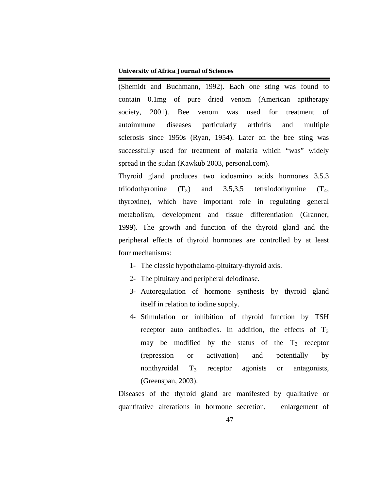(Shemidt and Buchmann, 1992). Each one sting was found to contain 0.1mg of pure dried venom (American apitherapy society, 2001). Bee venom was used for treatment of autoimmune diseases particularly arthritis and multiple sclerosis since 1950s (Ryan, 1954). Later on the bee sting was successfully used for treatment of malaria which "was" widely spread in the sudan (Kawkub 2003, personal.com).

Thyroid gland produces two iodoamino acids hormones 3.5.3 triiodothyronine (T*<sup>R</sup>* and 3,5,3,5 tetraiodothyrnine  $(T<sub>4</sub>,$ thyroxine), which have important role in regulating general metabolism, development and tissue differentiation (Granner, 1999). The growth and function of the thyroid gland and the peripheral effects of thyroid hormones are controlled by at least four mechanisms:

- 1- The classic hypothalamo-pituitary-thyroid axis.
- 2- The pituitary and peripheral deiodinase.
- 3- Autoregulation of hormone synthesis by thyroid gland itself in relation to iodine supply.
- 4- Stimulation or inhibition of thyroid function by TSH receptor auto antibodies. In addition, the effects of T<sub>3</sub> may be modified by the status of the  $T_3$  receptor (repression or activation) and potentially by nonthyroidal T*<sup>R</sup>* receptor agonists or antagonists, (Greenspan, 2003).

Diseases of the thyroid gland are manifested by qualitative or quantitative alterations in hormone secretion, enlargement of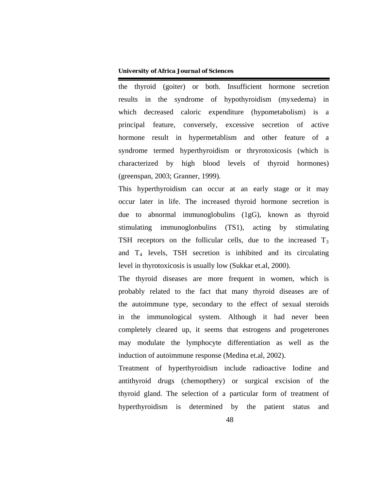the thyroid (goiter) or both. Insufficient hormone secretion results in the syndrome of hypothyroidism (myxedema) in which decreased caloric expenditure (hypometabolism) is a principal feature, conversely, excessive secretion of active hormone result in hypermetablism and other feature of a syndrome termed hyperthyroidism or thryrotoxicosis (which is characterized by high blood levels of thyroid hormones) (greenspan, 2003; Granner, 1999).

This hyperthyroidism can occur at an early stage or it may occur later in life. The increased thyroid hormone secretion is due to abnormal immunoglobulins (1gG), known as thyroid stimulating immunoglonbulins (TS1), acting by stimulating TSH receptors on the follicular cells, due to the increased T<sub>3</sub> and T<sub>4</sub> levels, TSH secretion is inhibited and its circulating level in thyrotoxicosis is usually low (Sukkar et.al, 2000).

The thyroid diseases are more frequent in women, which is probably related to the fact that many thyroid diseases are of the autoimmune type, secondary to the effect of sexual steroids in the immunological system. Although it had never been completely cleared up, it seems that estrogens and progeterones may modulate the lymphocyte differentiation as well as the induction of autoimmune response (Medina et.al, 2002).

Treatment of hyperthyroidism include radioactive Iodine and antithyroid drugs (chemopthery) or surgical excision of the thyroid gland. The selection of a particular form of treatment of hyperthyroidism is determined by the patient status and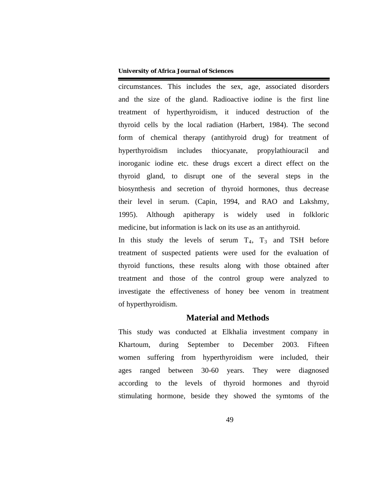circumstances. This includes the sex, age, associated disorders and the size of the gland. Radioactive iodine is the first line treatment of hyperthyroidism, it induced destruction of the thyroid cells by the local radiation (Harbert, 1984). The second form of chemical therapy (antithyroid drug) for treatment of hyperthyroidism includes thiocyanate, propylathiouracil and inoroganic iodine etc. these drugs excert a direct effect on the thyroid gland, to disrupt one of the several steps in the biosynthesis and secretion of thyroid hormones, thus decrease their level in serum. (Capin, 1994, and RAO and Lakshmy, 1995). Although apitherapy is widely used in folkloric medicine, but information is lack on its use as an antithyroid.

In this study the levels of serum  $T_4$ ,  $T_3$  and TSH before treatment of suspected patients were used for the evaluation of thyroid functions, these results along with those obtained after treatment and those of the control group were analyzed to investigate the effectiveness of honey bee venom in treatment of hyperthyroidism.

# **Material and Methods**

This study was conducted at Elkhalia investment company in Khartoum, during September to December 2003. Fifteen women suffering from hyperthyroidism were included, their ages ranged between 30-60 years. They were diagnosed according to the levels of thyroid hormones and thyroid stimulating hormone, beside they showed the symtoms of the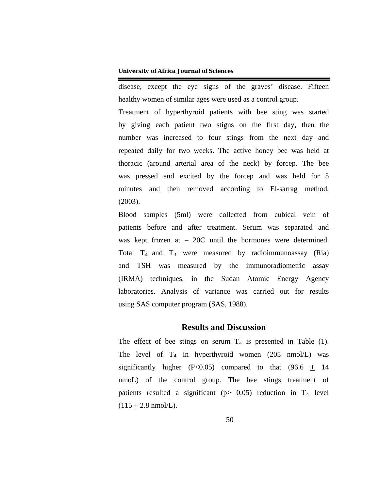disease, except the eye signs of the graves' disease. Fifteen healthy women of similar ages were used as a control group.

Treatment of hyperthyroid patients with bee sting was started by giving each patient two stigns on the first day, then the number was increased to four stings from the next day and repeated daily for two weeks. The active honey bee was held at thoracic (around arterial area of the neck) by forcep. The bee was pressed and excited by the forcep and was held for 5 minutes and then removed according to El-sarrag method, (2003).

Blood samples (5ml) were collected from cubical vein of patients before and after treatment. Serum was separated and was kept frozen at – 20C until the hormones were determined. Total  $T_4$  and  $T_3$  were measured by radioimmunoassay (Ria) and TSH was measured by the immunoradiometric assay (IRMA) techniques, in the Sudan Atomic Energy Agency laboratories. Analysis of variance was carried out for results using SAS computer program (SAS, 1988).

## **Results and Discussion**

The effect of bee stings on serum  $T_4$  is presented in Table (1). The level of  $T_4$  in hyperthyroid women (205 nmol/L) was significantly higher (P<0.05) compared to that  $(96.6 + 14)$ nmoL) of the control group. The bee stings treatment of patients resulted a significant (p> 0.05) reduction in T<sub>4</sub> level  $(115 + 2.8 \text{ nmol/L}).$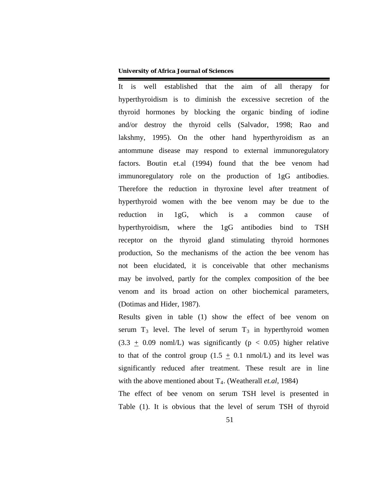It is well established that the aim of all therapy for hyperthyroidism is to diminish the excessive secretion of the thyroid hormones by blocking the organic binding of iodine and/or destroy the thyroid cells (Salvador, 1998; Rao and lakshmy, 1995). On the other hand hyperthyroidism as an antommune disease may respond to external immunoregulatory factors. Boutin et.al (1994) found that the bee venom had immunoregulatory role on the production of 1gG antibodies. Therefore the reduction in thyroxine level after treatment of hyperthyroid women with the bee venom may be due to the reduction in 1gG, which is a common cause of hyperthyroidism, where the 1gG antibodies bind to TSH receptor on the thyroid gland stimulating thyroid hormones production, So the mechanisms of the action the bee venom has not been elucidated, it is conceivable that other mechanisms may be involved, partly for the complex composition of the bee venom and its broad action on other biochemical parameters, (Dotimas and Hider, 1987).

Results given in table (1) show the effect of bee venom on serum  $T_3$  level. The level of serum  $T_3$  in hyperthyroid women  $(3.3 \pm 0.09 \text{ non} l/L)$  was significantly (p < 0.05) higher relative to that of the control group  $(1.5 \pm 0.1 \text{ nmol/L})$  and its level was significantly reduced after treatment. These result are in line with the above mentioned about T<sub>4</sub>. (Weatherall *et.al*, 1984)

The effect of bee venom on serum TSH level is presented in Table (1). It is obvious that the level of serum TSH of thyroid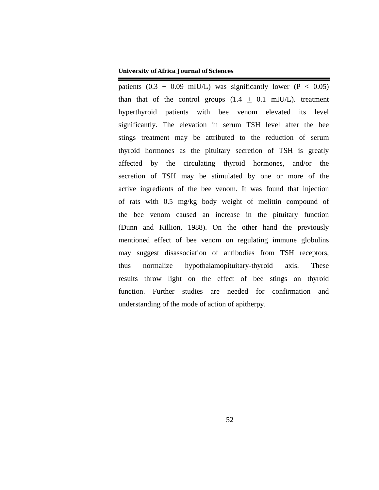patients  $(0.3 \pm 0.09 \text{ mIU/L})$  was significantly lower  $(P < 0.05)$ than that of the control groups  $(1.4 + 0.1 \text{ mIU/L})$ . treatment hyperthyroid patients with bee venom elevated its level significantly. The elevation in serum TSH level after the bee stings treatment may be attributed to the reduction of serum thyroid hormones as the pituitary secretion of TSH is greatly affected by the circulating thyroid hormones, and/or the secretion of TSH may be stimulated by one or more of the active ingredients of the bee venom. It was found that injection of rats with 0.5 mg/kg body weight of melittin compound of the bee venom caused an increase in the pituitary function (Dunn and Killion, 1988). On the other hand the previously mentioned effect of bee venom on regulating immune globulins may suggest disassociation of antibodies from TSH receptors, thus normalize hypothalamopituitary-thyroid axis. These results throw light on the effect of bee stings on thyroid function. Further studies are needed for confirmation and understanding of the mode of action of apitherpy.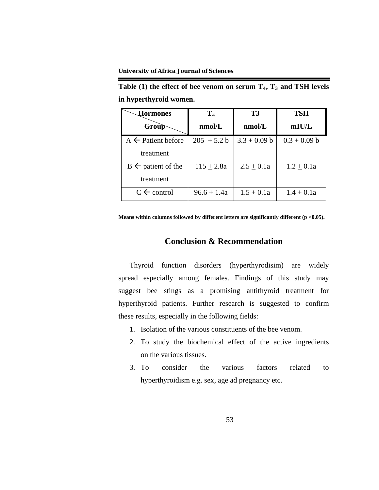treatment

 $B \leftarrow$  patient of the

treatment

| in hyperthyroid women.        |               |                |                |
|-------------------------------|---------------|----------------|----------------|
| Hormones                      |               | Т3             | TSH            |
| Group                         | nmol/L        | nmol/L         | mIU/L          |
| $A \leftarrow$ Patient before | $205 + 5.2 b$ | $3.3 + 0.09 b$ | $0.3 + 0.09 b$ |

 $115 \pm 2.8a$  |  $2.5 \pm 0.1a$  |  $1.2 \pm 0.1a$ 

Table (1) the effect of bee venom on serum  $T_4$ ,  $T_3$  and TSH levels

**Means within columns followed by different letters are significantly different (p <0.05).**

C control 96.6 + 1.4a 1.5 + 0.1a 1.4 + 0.1a

# **Conclusion & Recommendation**

Thyroid function disorders (hyperthyrodisim) are widely spread especially among females. Findings of this study may suggest bee stings as a promising antithyroid treatment for hyperthyroid patients. Further research is suggested to confirm these results, especially in the following fields:

- 1. Isolation of the various constituents of the bee venom.
- 2. To study the biochemical effect of the active ingredients on the various tissues.
- 3. To consider the various factors related to hyperthyroidism e.g. sex, age ad pregnancy etc.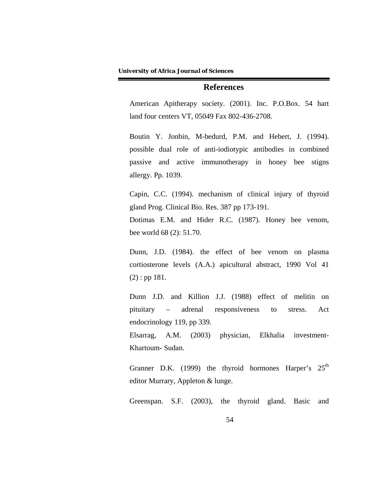### **References**

American Apitherapy society. (2001). Inc. P.O.Box. 54 hart land four centers VT, 05049 Fax 802-436-2708.

Boutin Y. Jonbin, M-bedurd, P.M. and Hebert, J. (1994). possible dual role of anti-iodiotypic antibodies in combined passive and active immunotherapy in honey bee stigns allergy. Pp. 1039.

Capin, C.C. (1994). mechanism of clinical injury of thyroid gland Prog. Clinical Bio. Res. 387 pp 173-191.

Dotimas E.M. and Hider R.C. (1987). Honey bee venom, bee world 68 (2): 51.70.

Dunn, J.D. (1984). the effect of bee venom on plasma cortiosterone levels (A.A.) apicultural abstract, 1990 Vol 41 (2) : pp 181.

Dunn J.D. and Killion J.J. (1988) effect of melitin on pituitary – adrenal responsiveness to stress. Act endocrinology 119, pp 339.

Elsarrag, A.M. (2003) physician, Elkhalia investment-Khartoum- Sudan.

Granner D.K. (1999) the thyroid hormones Harper's 25<sup>th</sup> editor Murrary, Appleton & lunge.

Greenspan. S.F. (2003), the thyroid gland. Basic and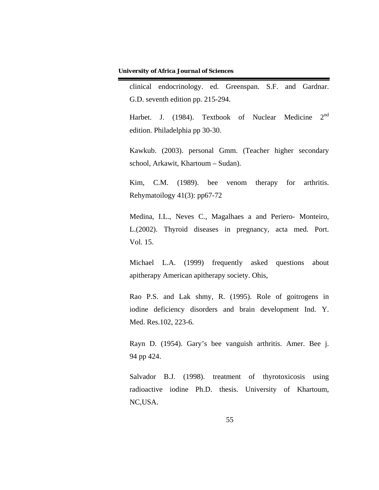clinical endocrinology. ed. Greenspan. S.F. and Gardnar. G.D. seventh edition pp. 215-294.

Harbet. J. (1984). Textbook of Nuclear Medicine  $2<sup>nd</sup>$ edition. Philadelphia pp 30-30.

Kawkub. (2003). personal Gmm. (Teacher higher secondary school, Arkawit, Khartoum – Sudan).

Kim, C.M. (1989). bee venom therapy for arthritis. Rehymatoilogy 41(3): pp67-72

Medina, I.L., Neves C., Magalhaes a and Periero- Monteiro, L.(2002). Thyroid diseases in pregnancy, acta med. Port. Vol. 15.

Michael L.A. (1999) frequently asked questions about apitherapy American apitherapy society. Ohis,

Rao P.S. and Lak shmy, R. (1995). Role of goitrogens in iodine deficiency disorders and brain development Ind. Y. Med. Res.102, 223-6.

Rayn D. (1954). Gary's bee vanguish arthritis. Amer. Bee j. 94 pp 424.

Salvador B.J. (1998). treatment of thyrotoxicosis using radioactive iodine Ph.D. thesis. University of Khartoum, NC,USA.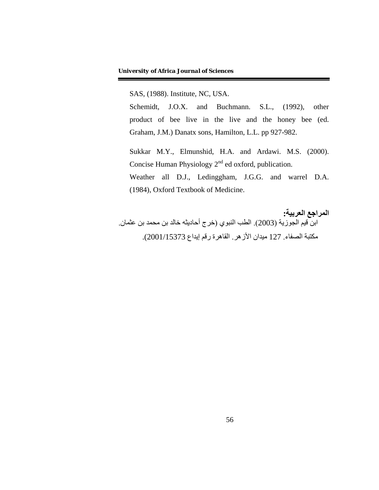SAS, (1988). Institute, NC, USA.

Schemidt, J.O.X. and Buchmann. S.L., (1992), other product of bee live in the live and the honey bee (ed. Graham, J.M.) Danatx sons, Hamilton, L.L. pp 927-982.

Sukkar M.Y., Elmunshid, H.A. and Ardawi. M.S. (2000). Concise Human Physiology 2<sup>nd</sup> ed oxford, publication. Weather all D.J., Ledinggham, J.G.G. and warrel D.A. (1984), Oxford Textbook of Medicine.

**المراجع العربية:** ابن قيم الجوزية (2003). الطب النبوي (خرج أحاديثه خالد بن محمد بن عثمان. مكتبة الصفاء. 127 ميدان الأزهر. القاهرة رقم إيداع 2001/15373).